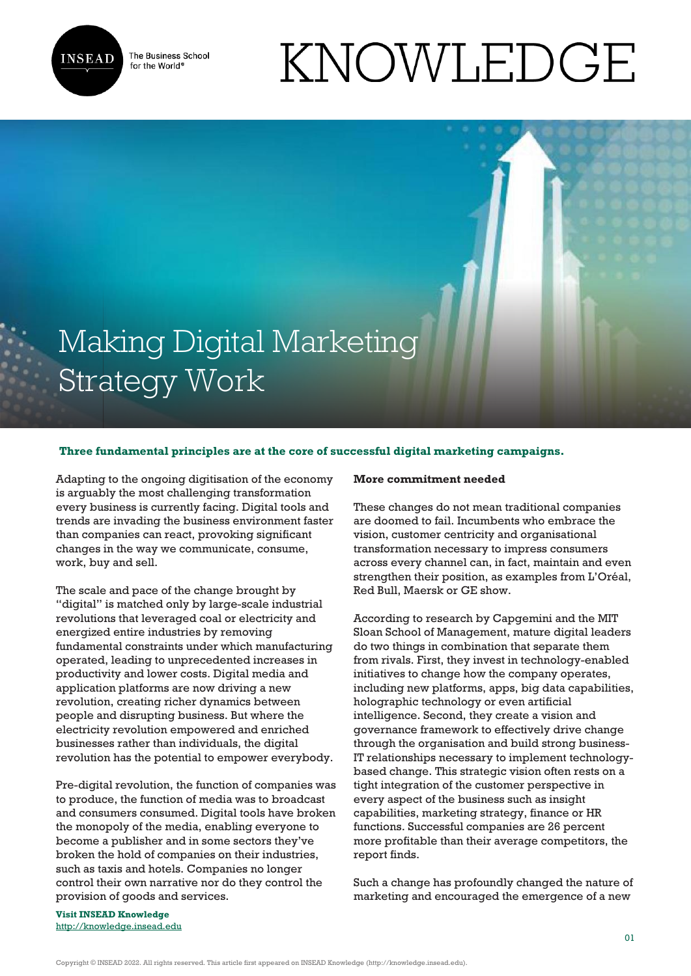

The Business School for the World<sup>®</sup>

# KNOWLEDGE

# Making Digital Marketing Strategy Work

# **Three fundamental principles are at the core of successful digital marketing campaigns.**

Adapting to the ongoing digitisation of the economy is arguably the most challenging transformation every business is currently facing. Digital tools and trends are invading the business environment faster than companies can react, provoking significant changes in the way we communicate, consume, work, buy and sell.

The scale and pace of the change brought by "digital" is matched only by large-scale industrial revolutions that leveraged coal or electricity and energized entire industries by removing fundamental constraints under which manufacturing operated, leading to unprecedented increases in productivity and lower costs. Digital media and application platforms are now driving a new revolution, creating richer dynamics between people and disrupting business. But where the electricity revolution empowered and enriched businesses rather than individuals, the digital revolution has the potential to empower everybody.

Pre-digital revolution, the function of companies was to produce, the function of media was to broadcast and consumers consumed. Digital tools have broken the monopoly of the media, enabling everyone to become a publisher and in some sectors they've broken the hold of companies on their industries, such as taxis and hotels. Companies no longer control their own narrative nor do they control the provision of goods and services.

#### **More commitment needed**

These changes do not mean traditional companies are doomed to fail. Incumbents who embrace the vision, customer centricity and organisational transformation necessary to impress consumers across every channel can, in fact, maintain and even strengthen their position, as examples from L'Oréal, Red Bull, Maersk or GE show.

According to research by Capgemini and the MIT Sloan School of Management, mature digital leaders do two things in combination that separate them from rivals. First, they invest in technology-enabled initiatives to change how the company operates, including new platforms, apps, big data capabilities, holographic technology or even artificial intelligence. Second, they create a vision and governance framework to effectively drive change through the organisation and build strong business-IT relationships necessary to implement technologybased change. This strategic vision often rests on a tight integration of the customer perspective in every aspect of the business such as insight capabilities, marketing strategy, finance or HR functions. Successful companies are 26 percent more profitable than their average competitors, the report finds.

Such a change has profoundly changed the nature of marketing and encouraged the emergence of a new

**Visit INSEAD Knowledge** <http://knowledge.insead.edu>

Copyright © INSEAD 2022. All rights reserved. This article first appeared on INSEAD Knowledge (http://knowledge.insead.edu).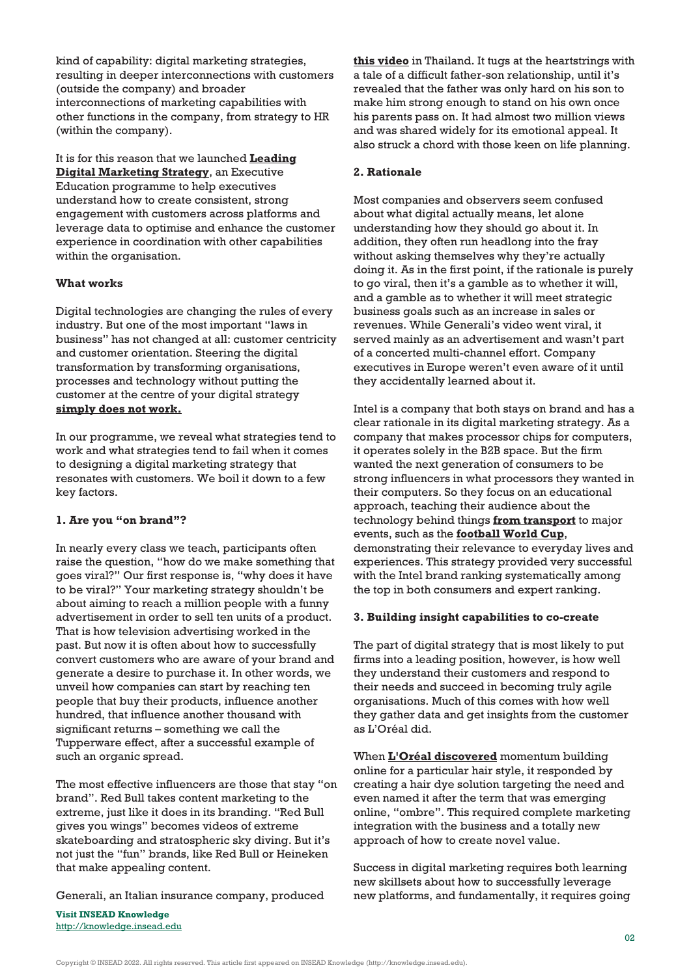kind of capability: digital marketing strategies, resulting in deeper interconnections with customers (outside the company) and broader interconnections of marketing capabilities with other functions in the company, from strategy to HR (within the company).

It is for this reason that we launched **[Leading](https://www.insead.edu/executive-education/marketing-sales/leading-digital-marketing-strategy) [Digital Marketing Strategy](https://www.insead.edu/executive-education/marketing-sales/leading-digital-marketing-strategy)**, an Executive Education programme to help executives understand how to create consistent, strong engagement with customers across platforms and leverage data to optimise and enhance the customer experience in coordination with other capabilities within the organisation.

## **What works**

Digital technologies are changing the rules of every industry. But one of the most important "laws in business" has not changed at all: customer centricity and customer orientation. Steering the digital transformation by transforming organisations, processes and technology without putting the customer at the centre of your digital strategy **[simply does not work.](http://knowledge.insead.edu/customers/successful-digital-transformation-starts-with-the-customer-4498)**

In our programme, we reveal what strategies tend to work and what strategies tend to fail when it comes to designing a digital marketing strategy that resonates with customers. We boil it down to a few key factors.

#### **1. Are you "on brand"?**

In nearly every class we teach, participants often raise the question, "how do we make something that goes viral?" Our first response is, "why does it have to be viral?" Your marketing strategy shouldn't be about aiming to reach a million people with a funny advertisement in order to sell ten units of a product. That is how television advertising worked in the past. But now it is often about how to successfully convert customers who are aware of your brand and generate a desire to purchase it. In other words, we unveil how companies can start by reaching ten people that buy their products, influence another hundred, that influence another thousand with significant returns – something we call the Tupperware effect, after a successful example of such an organic spread.

The most effective influencers are those that stay "on brand". Red Bull takes content marketing to the extreme, just like it does in its branding. "Red Bull gives you wings" becomes videos of extreme skateboarding and stratospheric sky diving. But it's not just the "fun" brands, like Red Bull or Heineken that make appealing content.

Generali, an Italian insurance company, produced

**Visit INSEAD Knowledge** <http://knowledge.insead.edu> **[this video](https://www.youtube.com/watch?v=lr4YM5T44QU)** in Thailand. It tugs at the heartstrings with a tale of a difficult father-son relationship, until it's revealed that the father was only hard on his son to make him strong enough to stand on his own once his parents pass on. It had almost two million views and was shared widely for its emotional appeal. It also struck a chord with those keen on life planning.

## **2. Rationale**

Most companies and observers seem confused about what digital actually means, let alone understanding how they should go about it. In addition, they often run headlong into the fray without asking themselves why they're actually doing it. As in the first point, if the rationale is purely to go viral, then it's a gamble as to whether it will, and a gamble as to whether it will meet strategic business goals such as an increase in sales or revenues. While Generali's video went viral, it served mainly as an advertisement and wasn't part of a concerted multi-channel effort. Company executives in Europe weren't even aware of it until they accidentally learned about it.

Intel is a company that both stays on brand and has a clear rationale in its digital marketing strategy. As a company that makes processor chips for computers, it operates solely in the B2B space. But the firm wanted the next generation of consumers to be strong influencers in what processors they wanted in their computers. So they focus on an educational approach, teaching their audience about the technology behind things **[from transport](http://iq.intel.com/could-your-next-uber-be-a-multicopter/)** to major events, such as the **[football World Cup](http://iq.intel.com/3-ways-technology-will-impact-the-2014-fifa-world-cup/)**, demonstrating their relevance to everyday lives and experiences. This strategy provided very successful with the Intel brand ranking systematically among the top in both consumers and expert ranking.

#### **3. Building insight capabilities to co-create**

The part of digital strategy that is most likely to put firms into a leading position, however, is how well they understand their customers and respond to their needs and succeed in becoming truly agile organisations. Much of this comes with how well they gather data and get insights from the customer as L'Oréal did.

When **[L'Oréal discovered](http://knowledge.insead.edu/blog/insead-blog/integrating-digital-intelligence-into-brand-strategy-4533)** momentum building online for a particular hair style, it responded by creating a hair dye solution targeting the need and even named it after the term that was emerging online, "ombre". This required complete marketing integration with the business and a totally new approach of how to create novel value.

Success in digital marketing requires both learning new skillsets about how to successfully leverage new platforms, and fundamentally, it requires going